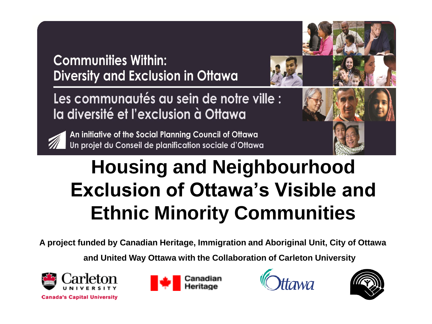**Communities Within: Diversity and Exclusion in Ottawa** 



Les communautés au sein de notre ville : la diversité et l'exclusion à Ottawa



An initiative of the Social Planning Council of Ottawa Un projet du Conseil de planification sociale d'Ottawa



### **Housing and Neighbourhood Exclusion of Ottawa's Visible and Ethnic Minority Communities**

**A project funded by Canadian Heritage, Immigration and Aboriginal Unit, City of Ottawa**

**and United Way Ottawa with the Collaboration of Carleton University**







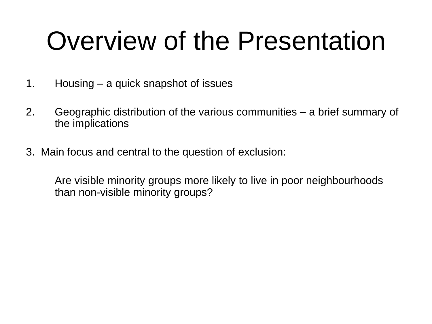# Overview of the Presentation

- 1. Housing a quick snapshot of issues
- 2. Geographic distribution of the various communities a brief summary of the implications
- 3. Main focus and central to the question of exclusion:

Are visible minority groups more likely to live in poor neighbourhoods than non-visible minority groups?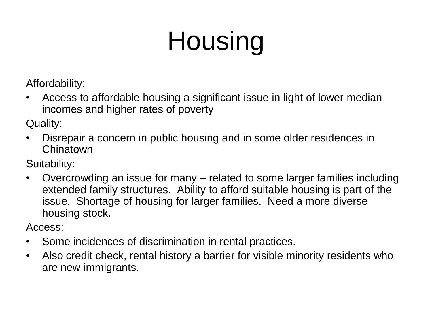# Housing

Affordability:

• Access to affordable housing a significant issue in light of lower median incomes and higher rates of poverty

Quality:

• Disrepair a concern in public housing and in some older residences in Chinatown

Suitability:

• Overcrowding an issue for many – related to some larger families including extended family structures. Ability to afford suitable housing is part of the issue. Shortage of housing for larger families. Need a more diverse housing stock.

Access:

- Some incidences of discrimination in rental practices.
- Also credit check, rental history a barrier for visible minority residents who are new immigrants.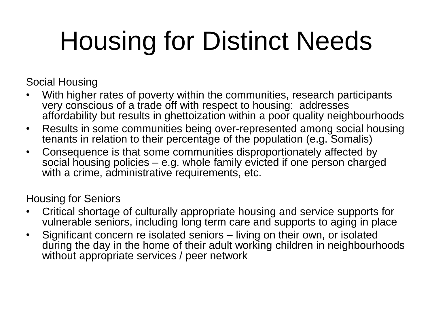# Housing for Distinct Needs

Social Housing

- With higher rates of poverty within the communities, research participants very conscious of a trade off with respect to housing: addresses affordability but results in ghettoization within a poor quality neighbourhoods
- Results in some communities being over-represented among social housing tenants in relation to their percentage of the population (e.g. Somalis)
- Consequence is that some communities disproportionately affected by social housing policies – e.g. whole family evicted if one person charged with a crime, administrative requirements, etc.

Housing for Seniors

- Critical shortage of culturally appropriate housing and service supports for vulnerable seniors, including long term care and supports to aging in place
- Significant concern re isolated seniors living on their own, or isolated during the day in the home of their adult working children in neighbourhoods without appropriate services / peer network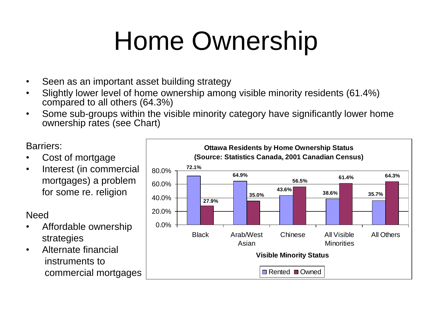# Home Ownership

- Seen as an important asset building strategy
- Slightly lower level of home ownership among visible minority residents (61.4%) compared to all others (64.3%)
- Some sub-groups within the visible minority category have significantly lower home ownership rates (see Chart)

#### Barriers:

- Cost of mortgage
- Interest (in commercial mortgages) a problem for some re. religion

Need

- Affordable ownership strategies
- Alternate financial instruments to commercial mortgages

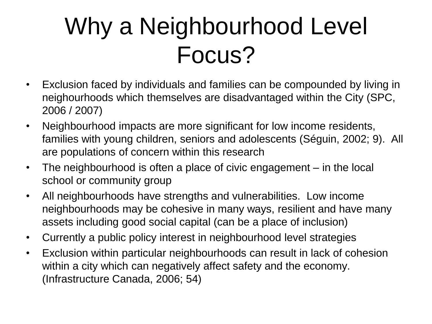## Why a Neighbourhood Level Focus?

- Exclusion faced by individuals and families can be compounded by living in neighourhoods which themselves are disadvantaged within the City (SPC, 2006 / 2007)
- Neighbourhood impacts are more significant for low income residents, families with young children, seniors and adolescents (Séguin, 2002; 9). All are populations of concern within this research
- The neighbourhood is often a place of civic engagement in the local school or community group
- All neighbourhoods have strengths and vulnerabilities. Low income neighbourhoods may be cohesive in many ways, resilient and have many assets including good social capital (can be a place of inclusion)
- Currently a public policy interest in neighbourhood level strategies
- Exclusion within particular neighbourhoods can result in lack of cohesion within a city which can negatively affect safety and the economy. (Infrastructure Canada, 2006; 54)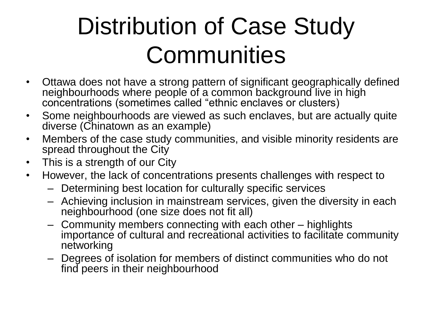## Distribution of Case Study **Communities**

- Ottawa does not have a strong pattern of significant geographically defined neighbourhoods where people of a common background live in high concentrations (sometimes called "ethnic enclaves or clusters)
- Some neighbourhoods are viewed as such enclaves, but are actually quite diverse (Chinatown as an example)
- Members of the case study communities, and visible minority residents are spread throughout the City
- This is a strength of our City
- However, the lack of concentrations presents challenges with respect to
	- Determining best location for culturally specific services
	- Achieving inclusion in mainstream services, given the diversity in each neighbourhood (one size does not fit all)
	- Community members connecting with each other highlights importance of cultural and recreational activities to facilitate community networking
	- Degrees of isolation for members of distinct communities who do not find peers in their neighbourhood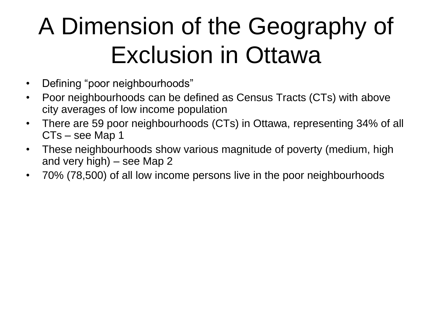# A Dimension of the Geography of Exclusion in Ottawa

- Defining "poor neighbourhoods"
- Poor neighbourhoods can be defined as Census Tracts (CTs) with above city averages of low income population
- There are 59 poor neighbourhoods (CTs) in Ottawa, representing 34% of all CTs – see Map 1
- These neighbourhoods show various magnitude of poverty (medium, high and very high) – see Map 2
- 70% (78,500) of all low income persons live in the poor neighbourhoods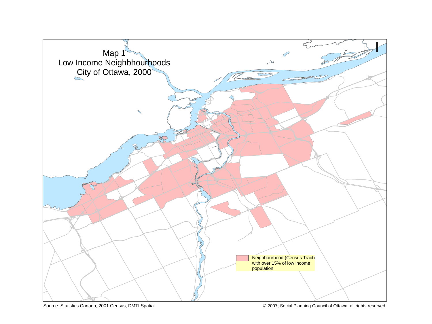

Source: Statistics Canada, 2001 Census, DMTI Spatial © 2007, Social Planning Council of Ottawa, all rights reserved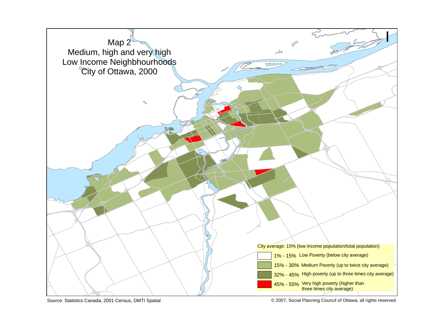

Source: Statistics Canada, 2001 Census, DMTI Spatial **Development Connective Council of Council** of Ottawa, all rights reserved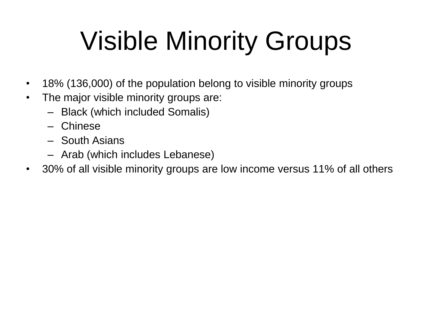# Visible Minority Groups

- 18% (136,000) of the population belong to visible minority groups
- The major visible minority groups are:
	- Black (which included Somalis)
	- Chinese
	- South Asians
	- Arab (which includes Lebanese)
- 30% of all visible minority groups are low income versus 11% of all others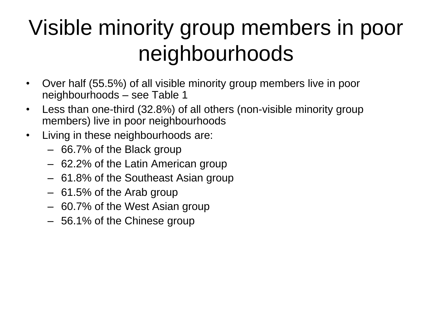### Visible minority group members in poor neighbourhoods

- Over half (55.5%) of all visible minority group members live in poor neighbourhoods – see Table 1
- Less than one-third (32.8%) of all others (non-visible minority group members) live in poor neighbourhoods
- Living in these neighbourhoods are:
	- 66.7% of the Black group
	- 62.2% of the Latin American group
	- 61.8% of the Southeast Asian group
	- 61.5% of the Arab group
	- 60.7% of the West Asian group
	- 56.1% of the Chinese group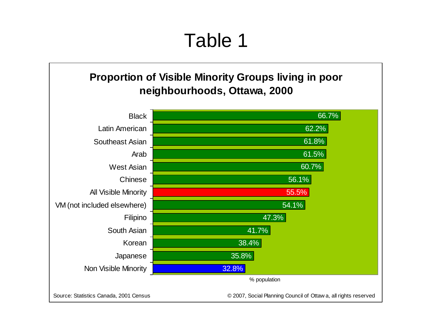#### Table 1

#### **Proportion of Visible Minority Groups living in poor neighbourhoods, Ottawa, 2000**

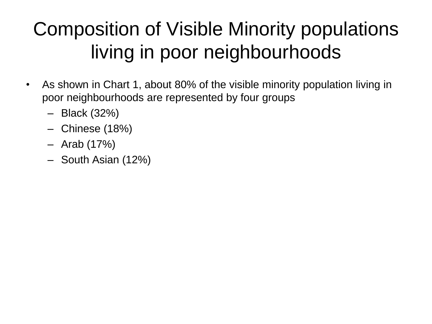### Composition of Visible Minority populations living in poor neighbourhoods

- As shown in Chart 1, about 80% of the visible minority population living in poor neighbourhoods are represented by four groups
	- Black (32%)
	- Chinese (18%)
	- Arab (17%)
	- South Asian (12%)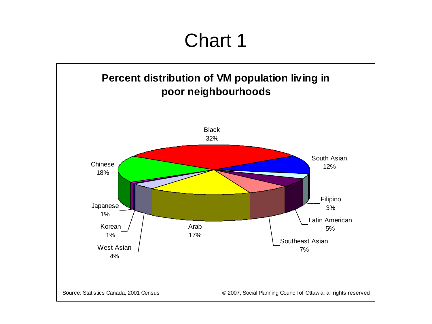#### Chart 1

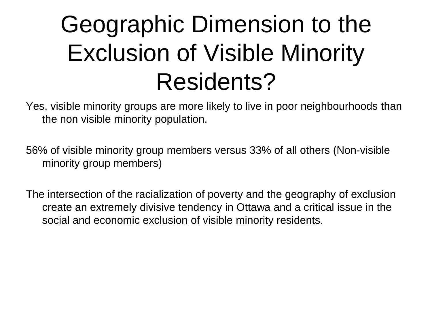## Geographic Dimension to the Exclusion of Visible Minority Residents?

Yes, visible minority groups are more likely to live in poor neighbourhoods than the non visible minority population.

56% of visible minority group members versus 33% of all others (Non-visible minority group members)

The intersection of the racialization of poverty and the geography of exclusion create an extremely divisive tendency in Ottawa and a critical issue in the social and economic exclusion of visible minority residents.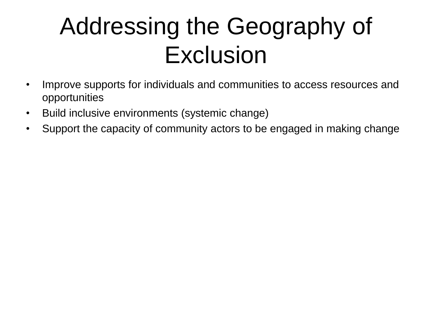### Addressing the Geography of Exclusion

- Improve supports for individuals and communities to access resources and opportunities
- Build inclusive environments (systemic change)
- Support the capacity of community actors to be engaged in making change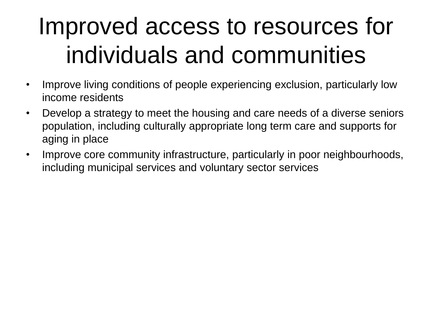## Improved access to resources for individuals and communities

- Improve living conditions of people experiencing exclusion, particularly low income residents
- Develop a strategy to meet the housing and care needs of a diverse seniors population, including culturally appropriate long term care and supports for aging in place
- Improve core community infrastructure, particularly in poor neighbourhoods, including municipal services and voluntary sector services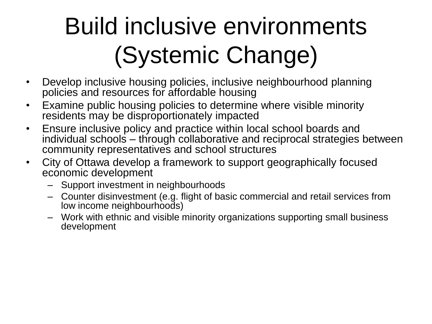# Build inclusive environments (Systemic Change)

- Develop inclusive housing policies, inclusive neighbourhood planning policies and resources for affordable housing
- Examine public housing policies to determine where visible minority residents may be disproportionately impacted
- Ensure inclusive policy and practice within local school boards and individual schools – through collaborative and reciprocal strategies between community representatives and school structures
- City of Ottawa develop a framework to support geographically focused economic development
	- Support investment in neighbourhoods
	- Counter disinvestment (e.g. flight of basic commercial and retail services from low income neighbourhoods)
	- Work with ethnic and visible minority organizations supporting small business development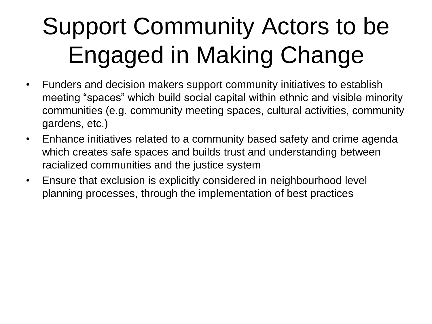# Support Community Actors to be Engaged in Making Change

- Funders and decision makers support community initiatives to establish meeting "spaces" which build social capital within ethnic and visible minority communities (e.g. community meeting spaces, cultural activities, community gardens, etc.)
- Enhance initiatives related to a community based safety and crime agenda which creates safe spaces and builds trust and understanding between racialized communities and the justice system
- Ensure that exclusion is explicitly considered in neighbourhood level planning processes, through the implementation of best practices